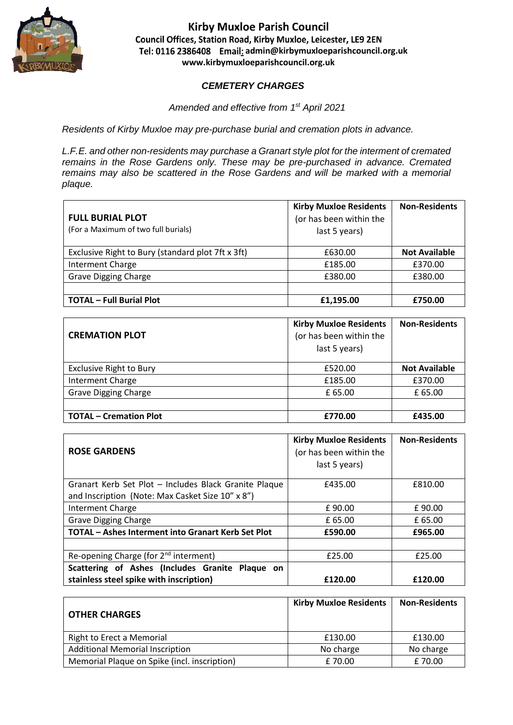

## **Kirby Muxloe Parish Council** Council Offices, Station Road, Kirby Muxloe, Leicester, LE9 2EN Tel: 0116 2386408 Email: [admin@kirbymuxloeparishcouncil.org.uk](mailto:admin@kirbymuxloeparishcouncil.org.uk) **www.kirbymuxloeparishcouncil.org.uk**

## **CEMETERY CHARGES**

*Amended and effective from 1 st April 2021*

*Residents of Kirby Muxloe may pre-purchase burial and cremation plots in advance.*

*L.F.E. and other non-residents may purchase a Granart style plot for the interment of cremated remains in the Rose Gardens only. These may be pre-purchased in advance. Cremated remains may also be scattered in the Rose Gardens and will be marked with a memorial plaque.*

| <b>FULL BURIAL PLOT</b><br>(For a Maximum of two full burials) | <b>Kirby Muxloe Residents</b><br>(or has been within the<br>last 5 years) | <b>Non-Residents</b> |
|----------------------------------------------------------------|---------------------------------------------------------------------------|----------------------|
| Exclusive Right to Bury (standard plot 7ft x 3ft)              | £630.00                                                                   | <b>Not Available</b> |
| <b>Interment Charge</b>                                        | £185.00                                                                   | £370.00              |
| <b>Grave Digging Charge</b>                                    | £380.00                                                                   | £380.00              |
|                                                                |                                                                           |                      |
| <b>TOTAL - Full Burial Plot</b>                                | £1.195.00                                                                 | £750.00              |

| <b>CREMATION PLOT</b>          | <b>Kirby Muxloe Residents</b><br>(or has been within the<br>last 5 years) | <b>Non-Residents</b> |
|--------------------------------|---------------------------------------------------------------------------|----------------------|
| <b>Exclusive Right to Bury</b> | £520.00                                                                   | <b>Not Available</b> |
| <b>Interment Charge</b>        | £185.00                                                                   | £370.00              |
| <b>Grave Digging Charge</b>    | £ 65.00                                                                   | £ 65.00              |
|                                |                                                                           |                      |
| <b>TOTAL - Cremation Plot</b>  | £770.00                                                                   | £435.00              |

| <b>ROSE GARDENS</b>                                                                                       | <b>Kirby Muxloe Residents</b><br>(or has been within the<br>last 5 years) | <b>Non-Residents</b> |
|-----------------------------------------------------------------------------------------------------------|---------------------------------------------------------------------------|----------------------|
| Granart Kerb Set Plot - Includes Black Granite Plaque<br>and Inscription (Note: Max Casket Size 10" x 8") | £435.00                                                                   | £810.00              |
| Interment Charge                                                                                          | £90.00                                                                    | £90.00               |
| <b>Grave Digging Charge</b>                                                                               | £65.00                                                                    | £ 65.00              |
| <b>TOTAL - Ashes Interment into Granart Kerb Set Plot</b>                                                 | £590.00                                                                   | £965.00              |
|                                                                                                           |                                                                           |                      |
| Re-opening Charge (for 2 <sup>nd</sup> interment)                                                         | £25.00                                                                    | £25.00               |
| Scattering of Ashes (Includes Granite<br>Plaque<br>on<br>stainless steel spike with inscription)          | £120.00                                                                   | £120.00              |

| <b>OTHER CHARGES</b>                         | <b>Kirby Muxloe Residents</b> | <b>Non-Residents</b> |
|----------------------------------------------|-------------------------------|----------------------|
| Right to Erect a Memorial                    | £130.00                       | £130.00              |
| <b>Additional Memorial Inscription</b>       | No charge                     | No charge            |
| Memorial Plaque on Spike (incl. inscription) | £70.00                        | £70.00               |